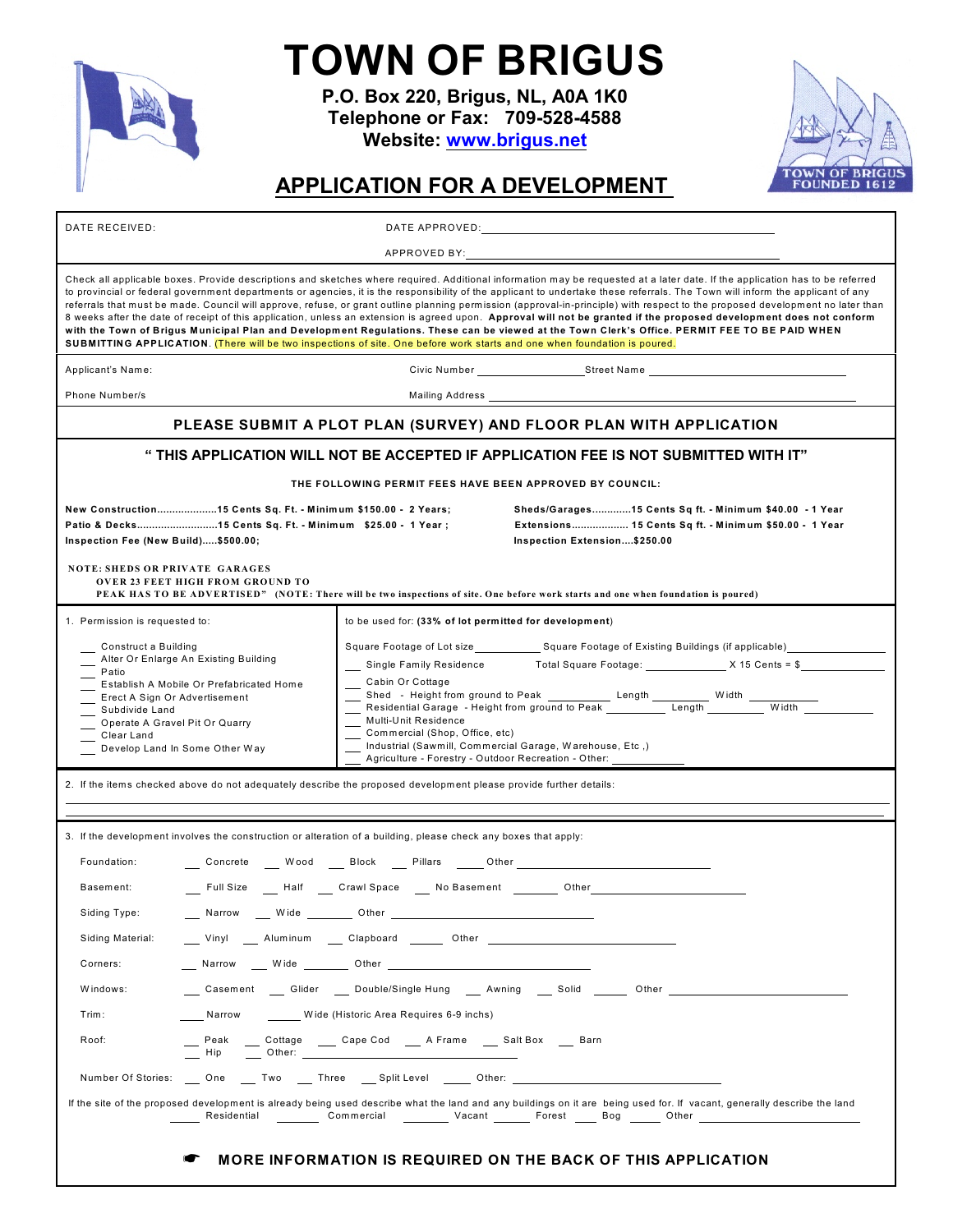

## **TOWN OF BRIGUS**

**P.O. Box 220, Brigus, NL, A0A 1K0 Telephone or Fax: 709-528-4588 Website: [www.brigus.net](http://www.brigus.net)**



## **APPLICATION FOR A DEVELOPMENT**

| DATE RECEIVED:                                                                                                                                                                                                                                          |                   | DATE APPROVED: Note and the set of the set of the set of the set of the set of the set of the set of the set of the set of the set of the set of the set of the set of the set of the set of the set of the set of the set of                                                                                                                                                                                                                                                                                                                                                                                                                                                                                                                                                                                                                                                                                                                                                                           |  |  |
|---------------------------------------------------------------------------------------------------------------------------------------------------------------------------------------------------------------------------------------------------------|-------------------|---------------------------------------------------------------------------------------------------------------------------------------------------------------------------------------------------------------------------------------------------------------------------------------------------------------------------------------------------------------------------------------------------------------------------------------------------------------------------------------------------------------------------------------------------------------------------------------------------------------------------------------------------------------------------------------------------------------------------------------------------------------------------------------------------------------------------------------------------------------------------------------------------------------------------------------------------------------------------------------------------------|--|--|
|                                                                                                                                                                                                                                                         |                   | APPROVED BY:                                                                                                                                                                                                                                                                                                                                                                                                                                                                                                                                                                                                                                                                                                                                                                                                                                                                                                                                                                                            |  |  |
|                                                                                                                                                                                                                                                         |                   | Check all applicable boxes. Provide descriptions and sketches where required. Additional information may be requested at a later date. If the application has to be referred<br>to provincial or federal government departments or agencies, it is the responsibility of the applicant to undertake these referrals. The Town will inform the applicant of any<br>referrals that must be made. Council will approve, refuse, or grant outline planning permission (approval-in-principle) with respect to the proposed development no later than<br>8 weeks after the date of receipt of this application, unless an extension is agreed upon. Approval will not be granted if the proposed development does not conform<br>with the Town of Brigus Municipal Plan and Development Regulations. These can be viewed at the Town Clerk's Office. PERMIT FEE TO BE PAID WHEN<br>SUBMITTING APPLICATION. (There will be two inspections of site. One before work starts and one when foundation is poured. |  |  |
| Applicant's Name:                                                                                                                                                                                                                                       |                   |                                                                                                                                                                                                                                                                                                                                                                                                                                                                                                                                                                                                                                                                                                                                                                                                                                                                                                                                                                                                         |  |  |
| Phone Number/s                                                                                                                                                                                                                                          |                   |                                                                                                                                                                                                                                                                                                                                                                                                                                                                                                                                                                                                                                                                                                                                                                                                                                                                                                                                                                                                         |  |  |
|                                                                                                                                                                                                                                                         |                   | PLEASE SUBMIT A PLOT PLAN (SURVEY) AND FLOOR PLAN WITH APPLICATION                                                                                                                                                                                                                                                                                                                                                                                                                                                                                                                                                                                                                                                                                                                                                                                                                                                                                                                                      |  |  |
|                                                                                                                                                                                                                                                         |                   | "THIS APPLICATION WILL NOT BE ACCEPTED IF APPLICATION FEE IS NOT SUBMITTED WITH IT                                                                                                                                                                                                                                                                                                                                                                                                                                                                                                                                                                                                                                                                                                                                                                                                                                                                                                                      |  |  |
|                                                                                                                                                                                                                                                         |                   | THE FOLLOWING PERMIT FEES HAVE BEEN APPROVED BY COUNCIL:                                                                                                                                                                                                                                                                                                                                                                                                                                                                                                                                                                                                                                                                                                                                                                                                                                                                                                                                                |  |  |
| New Construction15 Cents Sq. Ft. - Minimum \$150.00 - 2 Years;<br>Patio & Decks15 Cents Sq. Ft. - Minimum \$25.00 - 1 Year;<br>Inspection Fee (New Build)\$500.00;                                                                                      |                   | Sheds/Garages15 Cents Sq ft. - Minimum \$40.00 - 1 Year<br>Extensions 15 Cents Sq ft. - Minimum \$50.00 - 1 Year<br>Inspection Extension\$250.00                                                                                                                                                                                                                                                                                                                                                                                                                                                                                                                                                                                                                                                                                                                                                                                                                                                        |  |  |
| <b>NOTE: SHEDS OR PRIVATE GARAGES</b><br><b>OVER 23 FEET HIGH FROM GROUND TO</b>                                                                                                                                                                        |                   | PEAK HAS TO BE ADVERTISED" (NOTE: There will be two inspections of site. One before work starts and one when foundation is poured)                                                                                                                                                                                                                                                                                                                                                                                                                                                                                                                                                                                                                                                                                                                                                                                                                                                                      |  |  |
| 1. Permission is requested to:                                                                                                                                                                                                                          |                   | to be used for: (33% of lot permitted for development)                                                                                                                                                                                                                                                                                                                                                                                                                                                                                                                                                                                                                                                                                                                                                                                                                                                                                                                                                  |  |  |
| Construct a Building<br>Alter Or Enlarge An Existing Building<br>Patio<br>Establish A Mobile Or Prefabricated Home<br>Erect A Sign Or Advertisement<br>Subdivide Land<br>Operate A Gravel Pit Or Quarry<br>Clear Land<br>Develop Land In Some Other Way |                   | Square Footage of Lot size____________________ Square Footage of Existing Buildings (if applicable)___________<br>Single Family Residence Total Square Footage: X 15 Cents = \$<br>Cabin Or Cottage<br>Multi-Unit Residence<br>Commercial (Shop, Office, etc)<br>Industrial (Sawmill, Commercial Garage, Warehouse, Etc,)<br>Agriculture - Forestry - Outdoor Recreation - Other:                                                                                                                                                                                                                                                                                                                                                                                                                                                                                                                                                                                                                       |  |  |
|                                                                                                                                                                                                                                                         |                   | 2. If the items checked above do not adequately describe the proposed development please provide further details:                                                                                                                                                                                                                                                                                                                                                                                                                                                                                                                                                                                                                                                                                                                                                                                                                                                                                       |  |  |
|                                                                                                                                                                                                                                                         |                   | 3. If the development involves the construction or alteration of a building, please check any boxes that apply:                                                                                                                                                                                                                                                                                                                                                                                                                                                                                                                                                                                                                                                                                                                                                                                                                                                                                         |  |  |
| Foundation:                                                                                                                                                                                                                                             |                   | __ Concrete __ Wood __ Block __ Pillars ___Other _______________________________                                                                                                                                                                                                                                                                                                                                                                                                                                                                                                                                                                                                                                                                                                                                                                                                                                                                                                                        |  |  |
| Basement:                                                                                                                                                                                                                                               |                   | __ Full Size ___ Half ___ Crawl Space ___ No Basement ________ Other____________                                                                                                                                                                                                                                                                                                                                                                                                                                                                                                                                                                                                                                                                                                                                                                                                                                                                                                                        |  |  |
| Siding Type:                                                                                                                                                                                                                                            | Narrow Wide Other |                                                                                                                                                                                                                                                                                                                                                                                                                                                                                                                                                                                                                                                                                                                                                                                                                                                                                                                                                                                                         |  |  |
| Siding Material:                                                                                                                                                                                                                                        |                   | Vinyl Aluminum Clapboard Other                                                                                                                                                                                                                                                                                                                                                                                                                                                                                                                                                                                                                                                                                                                                                                                                                                                                                                                                                                          |  |  |
| Corners:                                                                                                                                                                                                                                                |                   | Narrow Wide Other Charles Narrow Middle Charles Narrow Middle Charles Narrow Middle Charles Narrow Middle Charles Narrow Middle Charles Narrow Middle Charles Narrow Middle Charles Narrow Middle Charles Narrow Middle Charle                                                                                                                                                                                                                                                                                                                                                                                                                                                                                                                                                                                                                                                                                                                                                                          |  |  |
|                                                                                                                                                                                                                                                         |                   | ____Casement ____Glider _____Double/Single Hung _____Awning _____Solid _______Other _______________                                                                                                                                                                                                                                                                                                                                                                                                                                                                                                                                                                                                                                                                                                                                                                                                                                                                                                     |  |  |
| Windows:                                                                                                                                                                                                                                                |                   |                                                                                                                                                                                                                                                                                                                                                                                                                                                                                                                                                                                                                                                                                                                                                                                                                                                                                                                                                                                                         |  |  |
| Trim:                                                                                                                                                                                                                                                   |                   | Narrow Wide (Historic Area Requires 6-9 inchs)                                                                                                                                                                                                                                                                                                                                                                                                                                                                                                                                                                                                                                                                                                                                                                                                                                                                                                                                                          |  |  |
| Roof:<br>$\equiv$ Peak                                                                                                                                                                                                                                  |                   | Peak - Cottage - Cape Cod - A Frame - Salt Box - Barn<br>- Hip - Other: - Cape Cod - A Frame - Salt Box - Barn                                                                                                                                                                                                                                                                                                                                                                                                                                                                                                                                                                                                                                                                                                                                                                                                                                                                                          |  |  |
|                                                                                                                                                                                                                                                         |                   | Number Of Stories: One Two Three Split Level Other:                                                                                                                                                                                                                                                                                                                                                                                                                                                                                                                                                                                                                                                                                                                                                                                                                                                                                                                                                     |  |  |

## **K MORE INFORMATION IS REQUIRED ON THE BACK OF THIS APPLICATION**